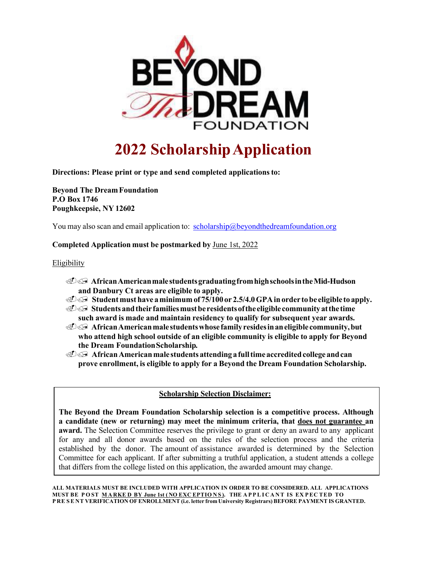

## **2022 ScholarshipApplication**

**Directions: Please print or type and send completed applicationsto:** 

**Beyond The DreamFoundation P.O Box 1746 Poughkeepsie, NY 12602**

You may also scan and email application to: scholarship@beyondthedreamfoundation.org

## **Completed Application must be postmarked by** June 1st, 2022

## Eligibility

- ./ **AfricanAmericanmalestudentsgraduatingfromhighschoolsintheMid-Hudson and Danbury Ct areas are eligible to apply.**
- ./ **Studentmust have aminimum of 75/100 or 2.5/4.0GPAinorder tobe eligible to apply.**
- ./ **Studentsandtheirfamiliesmustberesidentsoftheeligible communityatthetime such award is made and maintain residency to qualify for subsequent year awards.**
- ./ **AfricanAmericanmale studentswhosefamilyresidesinaneligible community,but who attend high school outside of an eligible community is eligible to apply for Beyond the Dream FoundationScholarship***.*
- ./ **AfricanAmericanmale students attending afulltimeaccreditedcollege andcan prove enrollment, is eligible to apply for a Beyond the Dream Foundation Scholarship.**

## **Scholarship Selection Disclaimer:**

**The Beyond the Dream Foundation Scholarship selection is a competitive process. Although a candidate (new or returning) may meet the minimum criteria, that does not guarantee an award.** The Selection Committee reserves the privilege to grant or deny an award to any applicant for any and all donor awards based on the rules of the selection process and the criteria established by the donor. The amount of assistance awarded is determined by the Selection Committee for each applicant. If after submitting a truthful application, a student attends a college that differs from the college listed on this application, the awarded amount may change.

**ALL MATERIALS MUST BE INCLUDED WITH APPLICATION IN ORDER TO BE CONSIDERED. ALL APPLICATIONS**  MUST BE POST MARKED BY June 1st (NO EXCEPTIONS). THE APPLICANT IS EXPECTED TO **P RE SE NT VERIFICATION OFENROLLMENT (i.e. letter from University Registrars) BEFORE PAYMENT IS GRANTED.**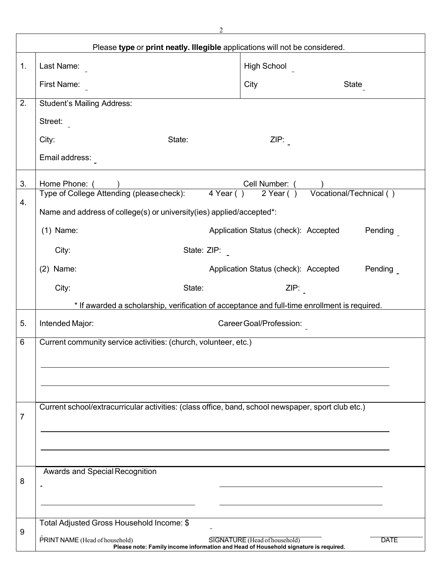| Please type or print neatly. Illegible applications will not be considered. |                                                                                                                                                                       |                                                 |  |  |
|-----------------------------------------------------------------------------|-----------------------------------------------------------------------------------------------------------------------------------------------------------------------|-------------------------------------------------|--|--|
| 1 <sub>1</sub>                                                              | Last Name:                                                                                                                                                            | <b>High School</b>                              |  |  |
|                                                                             | First Name:                                                                                                                                                           | City<br>State                                   |  |  |
| 2.                                                                          | <b>Student's Mailing Address:</b>                                                                                                                                     |                                                 |  |  |
|                                                                             | Street:                                                                                                                                                               |                                                 |  |  |
|                                                                             | City:<br>State:                                                                                                                                                       | ZIP:                                            |  |  |
|                                                                             | Email address:                                                                                                                                                        |                                                 |  |  |
| 3.                                                                          | Home Phone: (                                                                                                                                                         | Cell Number: (                                  |  |  |
| 4.                                                                          | Type of College Attending (please check): 4 Year () 2 Year () Vocational/Technical ()                                                                                 |                                                 |  |  |
|                                                                             | Name and address of college(s) or university(ies) applied/accepted*:                                                                                                  |                                                 |  |  |
|                                                                             | $(1)$ Name:                                                                                                                                                           | Application Status (check): Accepted<br>Pending |  |  |
|                                                                             | City:<br>State: ZIP:                                                                                                                                                  |                                                 |  |  |
|                                                                             | (2)<br>Name:                                                                                                                                                          | Application Status (check): Accepted<br>Pending |  |  |
|                                                                             | City:<br>State:                                                                                                                                                       | ZIP:                                            |  |  |
|                                                                             | * If awarded a scholarship, verification of acceptance and full-time enrollment is required.                                                                          |                                                 |  |  |
| 5.                                                                          | Intended Major:                                                                                                                                                       | Career Goal/Profession:                         |  |  |
| 6                                                                           | Current community service activities: (church, volunteer, etc.)                                                                                                       |                                                 |  |  |
|                                                                             |                                                                                                                                                                       |                                                 |  |  |
|                                                                             |                                                                                                                                                                       |                                                 |  |  |
|                                                                             |                                                                                                                                                                       |                                                 |  |  |
| $\overline{7}$                                                              | Current school/extracurricular activities: (class office, band, school newspaper, sport club etc.)                                                                    |                                                 |  |  |
|                                                                             |                                                                                                                                                                       |                                                 |  |  |
|                                                                             |                                                                                                                                                                       |                                                 |  |  |
|                                                                             | <b>Awards and Special Recognition</b>                                                                                                                                 |                                                 |  |  |
| 8                                                                           | $\overline{a}$                                                                                                                                                        |                                                 |  |  |
|                                                                             |                                                                                                                                                                       |                                                 |  |  |
| 9                                                                           | Total Adjusted Gross Household Income: \$                                                                                                                             |                                                 |  |  |
|                                                                             | PRINT NAME (Head of household)<br>SIGNATURE (Head of household)<br><b>DATE</b><br>Please note: Family income information and Head of Household signature is required. |                                                 |  |  |